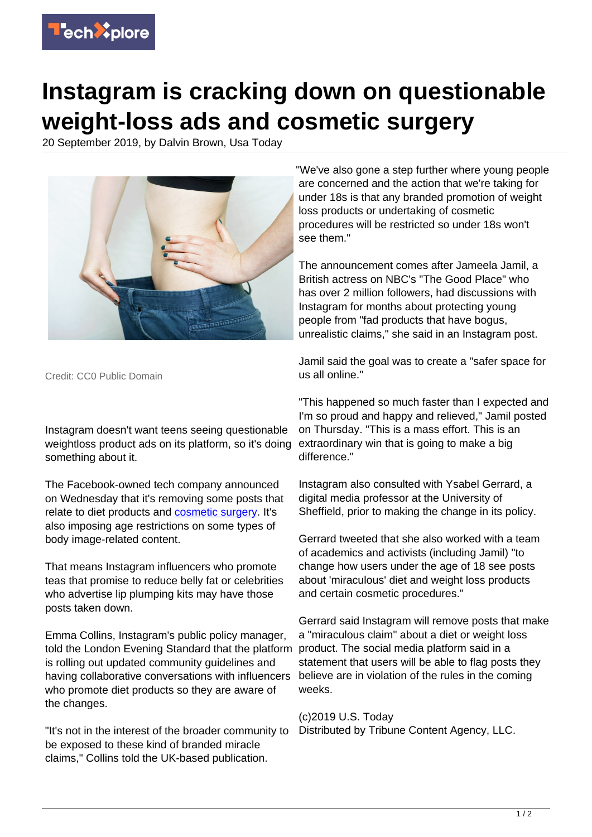

## **Instagram is cracking down on questionable weight-loss ads and cosmetic surgery**

20 September 2019, by Dalvin Brown, Usa Today



Credit: CC0 Public Domain

Instagram doesn't want teens seeing questionable weightloss product ads on its platform, so it's doing something about it.

The Facebook-owned tech company announced on Wednesday that it's removing some posts that relate to diet products and [cosmetic surgery.](https://techxplore.com/tags/cosmetic+surgery/) It's also imposing age restrictions on some types of body image-related content.

That means Instagram influencers who promote teas that promise to reduce belly fat or celebrities who advertise lip plumping kits may have those posts taken down.

Emma Collins, Instagram's public policy manager, told the London Evening Standard that the platform is rolling out updated community guidelines and having collaborative conversations with influencers who promote diet products so they are aware of the changes.

"It's not in the interest of the broader community to be exposed to these kind of branded miracle claims," Collins told the UK-based publication.

"We've also gone a step further where young people are concerned and the action that we're taking for under 18s is that any branded promotion of weight loss products or undertaking of cosmetic procedures will be restricted so under 18s won't see them."

The announcement comes after Jameela Jamil, a British actress on NBC's "The Good Place" who has over 2 million followers, had discussions with Instagram for months about protecting young people from "fad products that have bogus, unrealistic claims," she said in an Instagram post.

Jamil said the goal was to create a "safer space for us all online."

"This happened so much faster than I expected and I'm so proud and happy and relieved," Jamil posted on Thursday. "This is a mass effort. This is an extraordinary win that is going to make a big difference."

Instagram also consulted with Ysabel Gerrard, a digital media professor at the University of Sheffield, prior to making the change in its policy.

Gerrard tweeted that she also worked with a team of academics and activists (including Jamil) "to change how users under the age of 18 see posts about 'miraculous' diet and weight loss products and certain cosmetic procedures."

Gerrard said Instagram will remove posts that make a "miraculous claim" about a diet or weight loss product. The social media platform said in a statement that users will be able to flag posts they believe are in violation of the rules in the coming weeks.

(c)2019 U.S. Today Distributed by Tribune Content Agency, LLC.